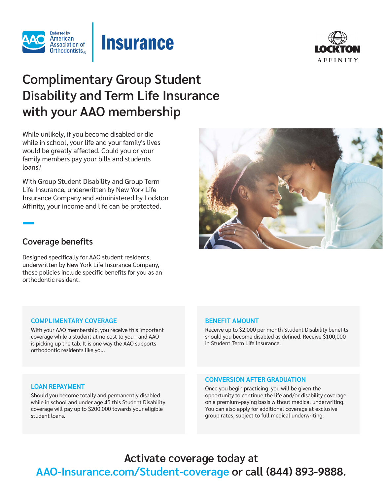





# **Complimentary Group Student Disability and Term Life Insurance with your AAO membership**

While unlikely, if you become disabled or die while in school, your life and your family's lives would be greatly affected. Could you or your family members pay your bills and students loans?

With Group Student Disability and Group Term Life Insurance, underwritten by New York Life Insurance Company and administered by Lockton Affinity, your income and life can be protected.

### **Coverage benefits**

Designed specifically for AAO student residents, underwritten by New York Life Insurance Company, these policies include specific benefits for you as an orthodontic resident.

#### **COMPLIMENTARY COVERAGE**

With your AAO membership, you receive this important coverage while a student at no cost to you—and AAO is picking up the tab. It is one way the AAO supports orthodontic residents like you.

#### **BENEFIT AMOUNT**

Receive up to \$2,000 per month Student Disability benefits should you become disabled as defined. Receive \$100,000 in Student Term Life Insurance.

#### **LOAN REPAYMENT**

Should you become totally and permanently disabled while in school and under age 45 this Student Disability coverage will pay up to \$200,000 towards your eligible student loans.

#### **CONVERSION AFTER GRADUATION**

Once you begin practicing, you will be given the opportunity to continue the life and/or disability coverage on a premium-paying basis without medical underwriting. You can also apply for additional coverage at exclusive group rates, subject to full medical underwriting.

**Activate coverage today at AAO-Insurance.com/Student-coverage or call (844) 893-9888.**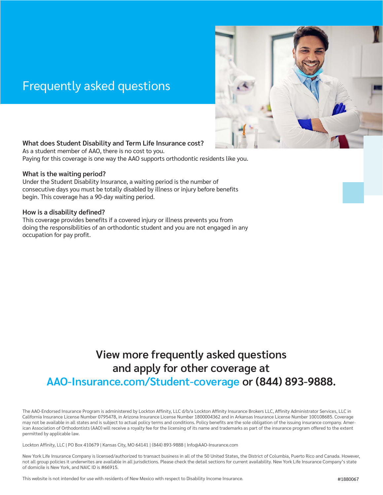## Frequently asked questions



#### **What does Student Disability and Term Life Insurance cost?**

As a student member of AAO, there is no cost to you. Paying for this coverage is one way the AAO supports orthodontic residents like you.

#### **What is the waiting period?**

Under the Student Disability Insurance, a waiting period is the number of consecutive days you must be totally disabled by illness or injury before benefits begin. This coverage has a 90-day waiting period.

#### **How is a disability defined?**

This coverage provides benefits if a covered injury or illness prevents you from doing the responsibilities of an orthodontic student and you are not engaged in any occupation for pay profit.

### **View more frequently asked questions and apply for other coverage at AAO-Insurance.com/Student-coverage or (844) 893-9888.**

The AAO-Endorsed Insurance Program is administered by Lockton Affinity, LLC d/b/a Lockton Affinity Insurance Brokers LLC, Affinity Administrator Services, LLC in California Insurance License Number 0795478, in Arizona Insurance License Number 1800004362 and in Arkansas Insurance License Number 100108685. Coverage may not be available in all states and is subject to actual policy terms and conditions. Policy benefits are the sole obligation of the issuing insurance company. American Association of Orthodontists (AAO) will receive a royalty fee for the licensing of its name and trademarks as part of the insurance program offered to the extent permitted by applicable law.

Lockton Affinity, LLC | PO Box 410679 | Kansas City, MO 64141 | (844) 893-9888 | Info@AAO-Insurance.com

New York Life Insurance Company is licensed/authorized to transact business in all of the 50 United States, the District of Columbia, Puerto Rico and Canada. However, not all group policies it underwrites are available in all jurisdictions. Please check the detail sections for current availability. New York Life Insurance Company's state of domicile is New York, and NAIC ID is #66915.